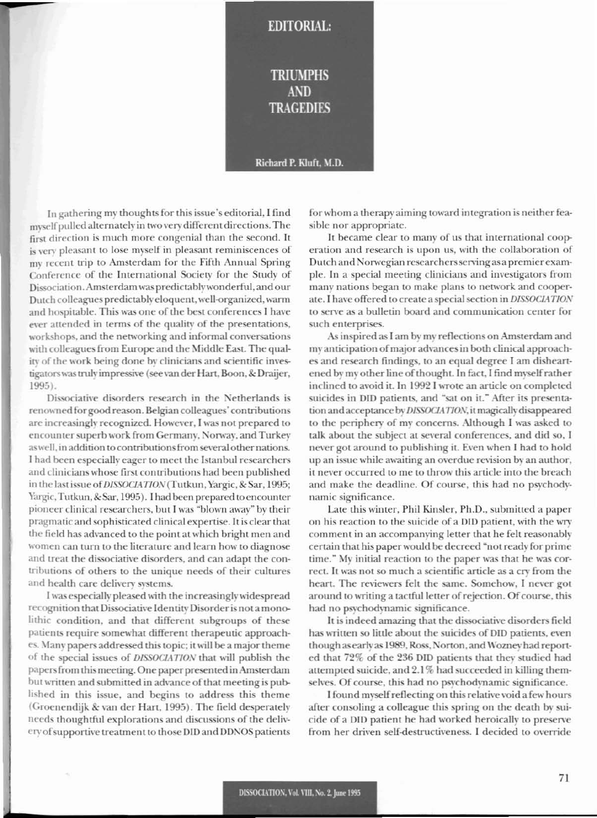## **TRIUMPHS AND TRAGEDIES**

**EDITORIAL:** 

## Richard P. Kluft, M.D.

In gathering my thoughts for this issue's editorial, I find myself pulled alternately in two very different directions. The first direction is much more congenial than the second. It is very pleasant to lose myself in pleasant reminiscences of my recent trip to Amsterdam for the Fifth Annual Spring Conference of the International Society for the Study of Dissociation. Amsterdam was predictably wonderful, and our Dutch colleagues predictably eloquent, well-organized, warm and hospitable. This was one of the best conferences I have ever attended in terms of the quality of the presentations, workshops, and the networking and informal conversations with colleagues from Europe and the Middle East. The quality of the work being done by clinicians and scientific investigators was truly impressive (see van der Hart, Boon, & Draijer,  $1995$ ).

Dissociative disorders research in the Netherlands is renowned for good reason. Belgian colleagues' contributions are increasingly recognized. However, I was not prepared to encounter superb work from Germany, Norway, and Turkey as well, in addition to contributions from several other nations. I had been especially eager to meet the Istanbul researchers and clinicians whose first contributions had been published in the last issue of DISSOCIATION (Tutkun, Yargic, & Sar, 1995; Yargic, Tutkun, & Sar, 1995). I had been prepared to encounter pioneer clinical researchers, but I was "blown away" by their pragmatic and sophisticated clinical expertise. It is clear that the field has advanced to the point at which bright men and women can turn to the literature and learn how to diagnose and treat the dissociative disorders, and can adapt the contributions of others to the unique needs of their cultures and health care delivery systems.

I was especially pleased with the increasingly widespread recognition that Dissociative Identity Disorder is not a monolithic condition, and that different subgroups of these patients require somewhat different therapeutic approaches. Many papers addressed this topic; it will be a major theme of the special issues of DISSOCIATION that will publish the papers from this meeting. One paper presented in Amsterdam but written and submitted in advance of that meeting is published in this issue, and begins to address this theme (Groenendijk & van der Hart, 1995). The field desperately needs thoughtful explorations and discussions of the delivery of supportive treatment to those DID and DDNOS patients for whom a therapy aiming toward integration is neither feasible nor appropriate.

It became clear to many of us that international cooperation and research is upon us, with the collaboration of Dutch and Norwegian researchers serving as a premier example. In a special meeting clinicians and investigators from many nations began to make plans to network and cooperate. I have offered to create a special section in DISSOCIATION to serve as a bulletin board and communication center for such enterprises.

As inspired as I am by my reflections on Amsterdam and my anticipation of major advances in both clinical approaches and research findings, to an equal degree I am disheartened by my other line of thought. In fact, I find myself rather inclined to avoid it. In 1992 I wrote an article on completed suicides in DID patients, and "sat on it." After its presentation and acceptance by DISSOCIATION, it magically disappeared to the periphery of my concerns. Although I was asked to talk about the subject at several conferences, and did so, I never got around to publishing it. Even when I had to hold up an issue while awaiting an overdue revision by an author, it never occurred to me to throw this article into the breach and make the deadline. Of course, this had no psychodynamic significance.

Late this winter, Phil Kinsler, Ph.D., submitted a paper on his reaction to the suicide of a DID patient, with the wry comment in an accompanying letter that he felt reasonably certain that his paper would be decreed "not ready for prime time." My initial reaction to the paper was that he was correct. It was not so much a scientific article as a cry from the heart. The reviewers felt the same. Somehow, I never got around to writing a tactful letter of rejection. Of course, this had no psychodynamic significance.

It is indeed amazing that the dissociative disorders field has written so little about the suicides of DID patients, even though as early as 1989, Ross, Norton, and Wozney had reported that 72% of the 236 DID patients that they studied had attempted suicide, and 2.1% had succeeded in killing themselves. Of course, this had no psychodynamic significance.

I found myself reflecting on this relative void a few hours after consoling a colleague this spring on the death by suicide of a DID patient he had worked heroically to preserve from her driven self-destructiveness. I decided to override